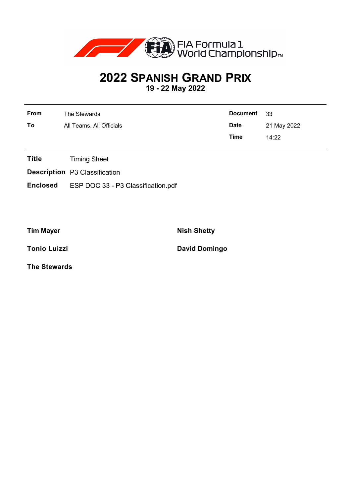

## **2022 SPANISH GRAND PRIX**

**19 - 22 May 2022**

| <b>From</b> | The Stewards             | Document 33 |             |
|-------------|--------------------------|-------------|-------------|
| To          | All Teams, All Officials | <b>Date</b> | 21 May 2022 |
|             |                          | Time        | 14:22       |

- **Title** Timing Sheet
- **Description** P3 Classification
- **Enclosed** ESP DOC 33 P3 Classification.pdf

**Tim Mayer Nish Shetty** 

**Tonio Luizzi David Domingo** 

**The Stewards**